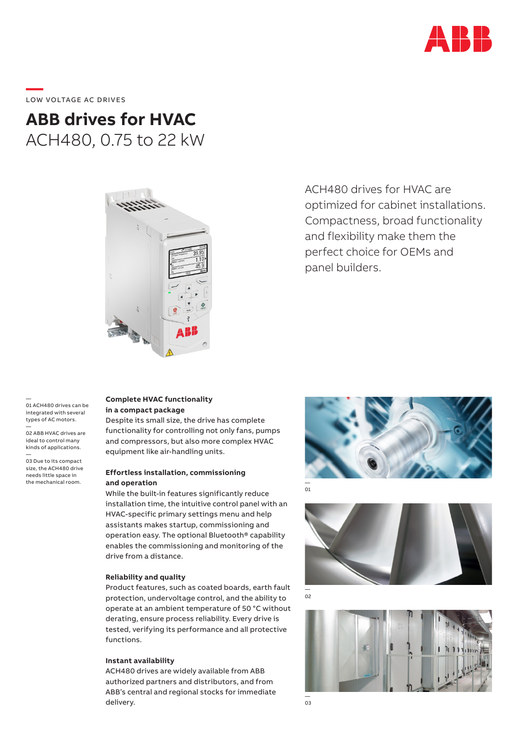

# **—**  LOW VOLTAGE AC DRIVES

**ABB drives for HVAC** ACH480, 0.75 to 22 kW



ACH480 drives for HVAC are optimized for cabinet installations. Compactness, broad functionality and flexibility make them the perfect choice for OEMs and panel builders.

— 01 ACH480 drives can be integrated with several types of AC motors.

— 02 ABB HVAC drives are ideal to control many kinds of applications.

— 03 Due to its compact size, the ACH480 drive needs little space in

# **Complete HVAC functionality in a compact package**

Despite its small size, the drive has complete functionality for controlling not only fans, pumps and compressors, but also more complex HVAC equipment like air-handling units.

## the mechanical room. — **and operation Effortless installation, commissioning**

While the built-in features significantly reduce installation time, the intuitive control panel with an HVAC-specific primary settings menu and help assistants makes startup, commissioning and operation easy. The optional Bluetooth® capability enables the commissioning and monitoring of the drive from a distance.

#### **Reliability and quality**

Product features, such as coated boards, earth fault protection, undervoltage control, and the ability to operate at an ambient temperature of 50 °C without derating, ensure process reliability. Every drive is tested, verifying its performance and all protective functions.

#### **Instant availability**

ACH480 drives are widely available from ABB authorized partners and distributors, and from ABB's central and regional stocks for immediate delivery.